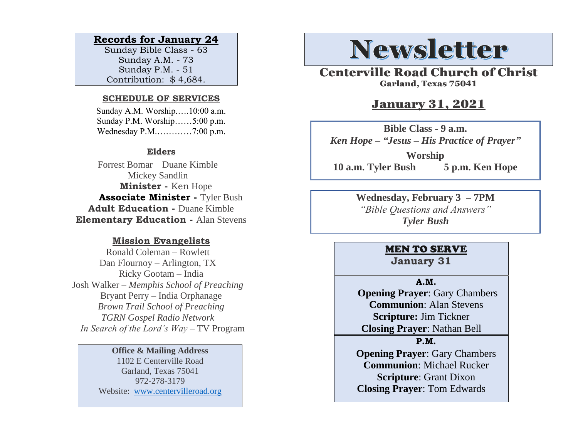## **Records for January 24**

Sunday Bible Class - 63 Sunday A.M. - 73 Sunday P.M. - 51 Contribution: \$ 4,684.

#### **SCHEDULE OF SERVICES**

 Sunday A.M. Worship.….10:00 a.m. Sunday P.M. Worship……5:00 p.m. Wednesday P.M.…………7:00 p.m.

## **Elders**

Forrest Bomar Duane Kimble Mickey Sandlin  **Minister -** Ken Hope  **Associate Minister -** Tyler Bush **Adult Education -** Duane Kimble **Elementary Education -** Alan Stevens

## **Mission Evangelists**

Ronald Coleman – Rowlett Dan Flournoy – Arlington, TX Ricky Gootam – India Josh Walker – *Memphis School of Preaching* Bryant Perry – India Orphanage *Brown Trail School of Preaching TGRN Gospel Radio Network In Search of the Lord's Way* – TV Program

## **Office & Mailing Address**

1102 E Centerville Road Garland, Texas 75041 972-278-3179 Website: [www.centervilleroad.org](https://d.docs.live.net/97e199c461b763eb/Newsletter/News%202020/August%202020/www.centervilleroad.org)

# **Newsletter**

Centerville Road Church of Christ Garland, Texas 75041

# January 31, 2021

**Bible Class - 9 a.m.** *Ken Hope – "Jesus – His Practice of Prayer"*

**Worship 10 a.m. Tyler Bush 5 p.m. Ken Hope**

> **Wednesday, February 3 – 7PM** *"Bible Questions and Answers" Tyler Bush*

# MEN TO SERVE

**January 31**

#### **A.M.**

 **Opening Prayer**: Gary Chambers **Communion**: Alan Stevens **Scripture:** Jim Tickner **Closing Prayer**: Nathan Bell

## **P.M.**

**Opening Prayer**: Gary Chambers **Communion**: Michael Rucker **Scripture**: Grant Dixon **Closing Prayer**: Tom Edwards